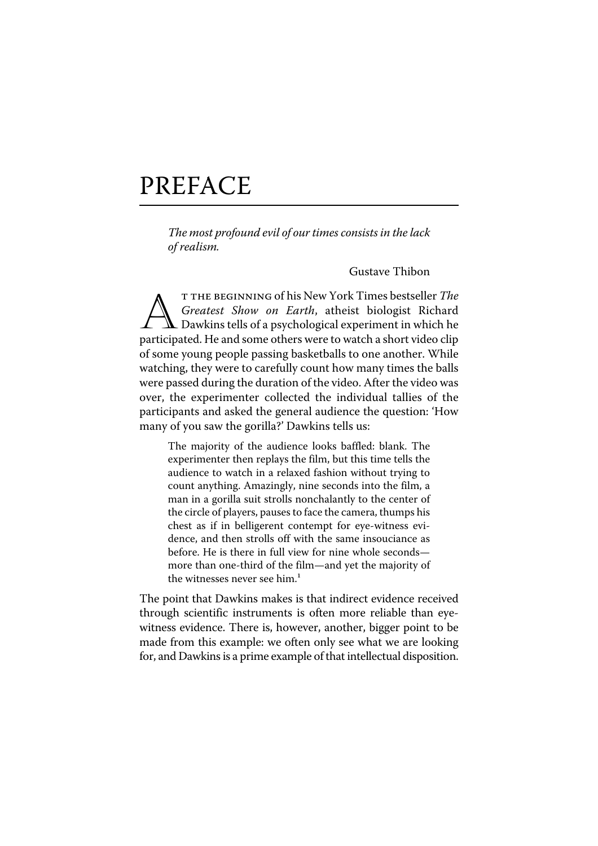# PREFACE

The most profound evil of our times consists in the lack of realism.

Gustave Thibon

T THE BEGINNING of his New York Times bestseller *The*<br>Greatest Show on Earth, atheist biologist Richard<br>Dawkins tells of a psychological experiment in which he<br>participated. He and some others were to watch a short video T THE BEGINNING of his New York Times bestseller The Greatest Show on Earth, atheist biologist Richard Dawkins tells of a psychological experiment in which he of some young people passing basketballs to one another. While watching, they were to carefully count how many times the balls were passed during the duration of the video. After the video was over, the experimenter collected the individual tallies of the participants and asked the general audience the question: 'How many of you saw the gorilla?' Dawkins tells us:

The majority of the audience looks baffled: blank. The experimenter then replays the film, but this time tells the audience to watch in a relaxed fashion without trying to count anything. Amazingly, nine seconds into the film, a man in a gorilla suit strolls nonchalantly to the center of the circle of players, pauses to face the camera, thumps his chest as if in belligerent contempt for eye-witness evidence, and then strolls off with the same insouciance as before. He is there in full view for nine whole seconds more than one-third of the film—and yet the majority of the witnesses never see him. $<sup>1</sup>$ </sup>

The point that Dawkins makes is that indirect evidence received through scientific instruments is often more reliable than eyewitness evidence. There is, however, another, bigger point to be made from this example: we often only see what we are looking for, and Dawkins is a prime example of that intellectual disposition.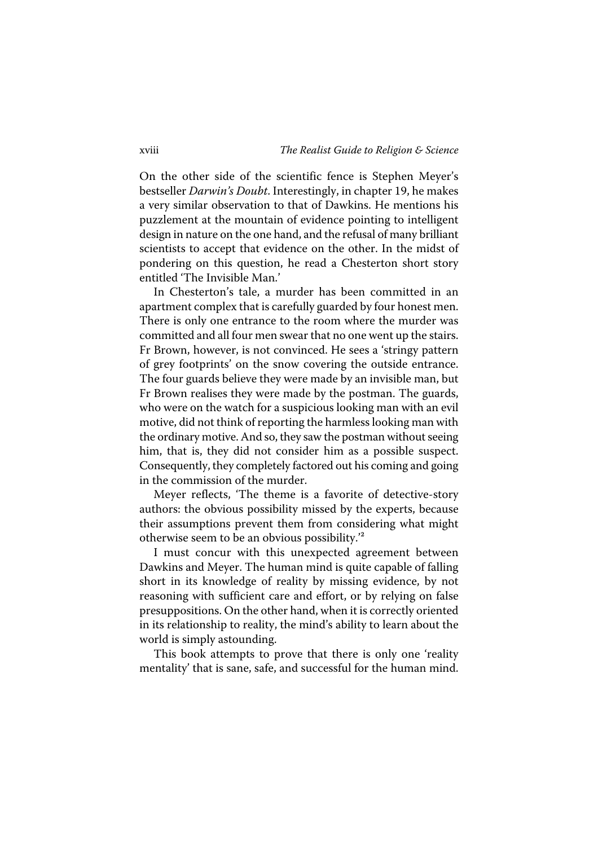On the other side of the scientific fence is Stephen Meyer's bestseller Darwin's Doubt. Interestingly, in chapter 19, he makes a very similar observation to that of Dawkins. He mentions his puzzlement at the mountain of evidence pointing to intelligent design in nature on the one hand, and the refusal of many brilliant scientists to accept that evidence on the other. In the midst of pondering on this question, he read a Chesterton short story entitled 'The Invisible Man.'

In Chesterton's tale, a murder has been committed in an apartment complex that is carefully guarded by four honest men. There is only one entrance to the room where the murder was committed and all four men swear that no one went up the stairs. Fr Brown, however, is not convinced. He sees a 'stringy pattern of grey footprints' on the snow covering the outside entrance. The four guards believe they were made by an invisible man, but Fr Brown realises they were made by the postman. The guards, who were on the watch for a suspicious looking man with an evil motive, did not think of reporting the harmless looking man with the ordinary motive. And so, they saw the postman without seeing him, that is, they did not consider him as a possible suspect. Consequently, they completely factored out his coming and going in the commission of the murder.

Meyer reflects, 'The theme is a favorite of detective-story authors: the obvious possibility missed by the experts, because their assumptions prevent them from considering what might otherwise seem to be an obvious possibility.'²

I must concur with this unexpected agreement between Dawkins and Meyer. The human mind is quite capable of falling short in its knowledge of reality by missing evidence, by not reasoning with sufficient care and effort, or by relying on false presuppositions. On the other hand, when it is correctly oriented in its relationship to reality, the mind's ability to learn about the world is simply astounding.

This book attempts to prove that there is only one 'reality mentality' that is sane, safe, and successful for the human mind.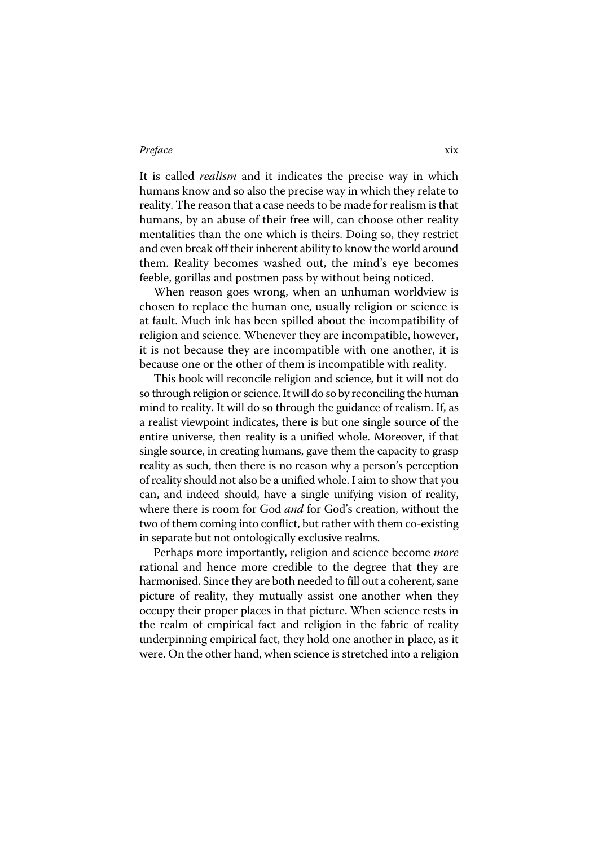### Preface xix

It is called *realism* and it indicates the precise way in which humans know and so also the precise way in which they relate to reality. The reason that a case needs to be made for realism is that humans, by an abuse of their free will, can choose other reality mentalities than the one which is theirs. Doing so, they restrict and even break off their inherent ability to know the world around them. Reality becomes washed out, the mind's eye becomes feeble, gorillas and postmen pass by without being noticed.

When reason goes wrong, when an unhuman worldview is chosen to replace the human one, usually religion or science is at fault. Much ink has been spilled about the incompatibility of religion and science. Whenever they are incompatible, however, it is not because they are incompatible with one another, it is because one or the other of them is incompatible with reality.

This book will reconcile religion and science, but it will not do so through religion or science. It will do so by reconciling the human mind to reality. It will do so through the guidance of realism. If, as a realist viewpoint indicates, there is but one single source of the entire universe, then reality is a unified whole. Moreover, if that single source, in creating humans, gave them the capacity to grasp reality as such, then there is no reason why a person's perception of reality should not also be a unified whole. I aim to show that you can, and indeed should, have a single unifying vision of reality, where there is room for God *and* for God's creation, without the two of them coming into conflict, but rather with them co-existing in separate but not ontologically exclusive realms.

Perhaps more importantly, religion and science become *more* rational and hence more credible to the degree that they are harmonised. Since they are both needed to fill out a coherent, sane picture of reality, they mutually assist one another when they occupy their proper places in that picture. When science rests in the realm of empirical fact and religion in the fabric of reality underpinning empirical fact, they hold one another in place, as it were. On the other hand, when science is stretched into a religion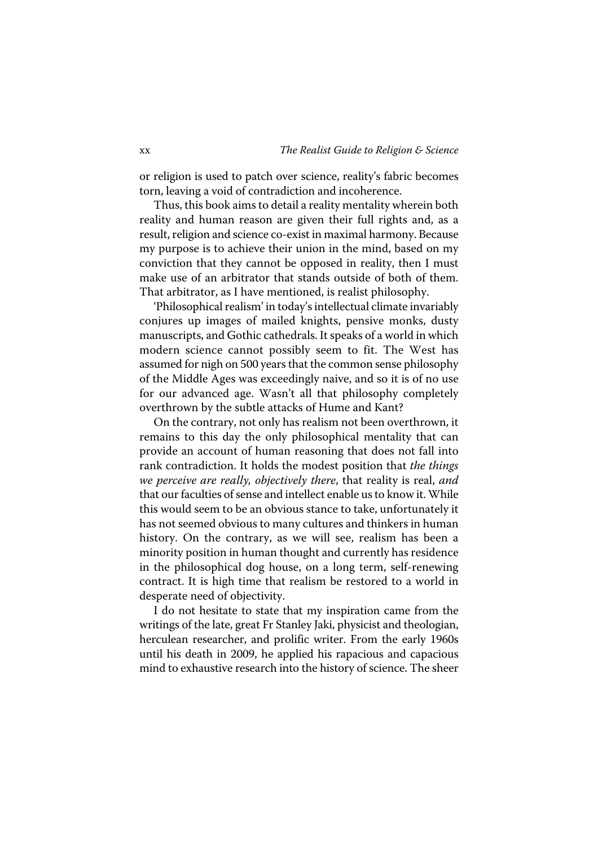or religion is used to patch over science, reality's fabric becomes torn, leaving a void of contradiction and incoherence.

Thus, this book aims to detail a reality mentality wherein both reality and human reason are given their full rights and, as a result, religion and science co-exist in maximal harmony. Because my purpose is to achieve their union in the mind, based on my conviction that they cannot be opposed in reality, then I must make use of an arbitrator that stands outside of both of them. That arbitrator, as I have mentioned, is realist philosophy.

'Philosophical realism' in today's intellectual climate invariably conjures up images of mailed knights, pensive monks, dusty manuscripts, and Gothic cathedrals. It speaks of a world in which modern science cannot possibly seem to fit. The West has assumed for nigh on 500 years that the common sense philosophy of the Middle Ages was exceedingly naive, and so it is of no use for our advanced age. Wasn't all that philosophy completely overthrown by the subtle attacks of Hume and Kant?

On the contrary, not only has realism not been overthrown, it remains to this day the only philosophical mentality that can provide an account of human reasoning that does not fall into rank contradiction. It holds the modest position that the things we perceive are really, objectively there, that reality is real, and that our faculties of sense and intellect enable us to know it. While this would seem to be an obvious stance to take, unfortunately it has not seemed obvious to many cultures and thinkers in human history. On the contrary, as we will see, realism has been a minority position in human thought and currently has residence in the philosophical dog house, on a long term, self-renewing contract. It is high time that realism be restored to a world in desperate need of objectivity.

I do not hesitate to state that my inspiration came from the writings of the late, great Fr Stanley Jaki, physicist and theologian, herculean researcher, and prolific writer. From the early 1960s until his death in 2009, he applied his rapacious and capacious mind to exhaustive research into the history of science. The sheer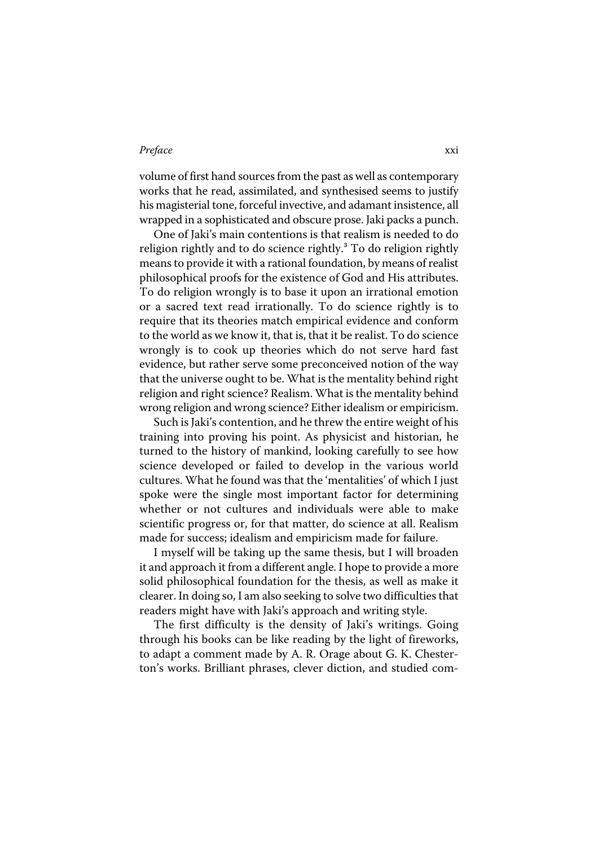### Preface xxi

volume of first hand sources from the past as well as contemporary works that he read, assimilated, and synthesised seems to justify his magisterial tone, forceful invective, and adamant insistence, all wrapped in a sophisticated and obscure prose. Jaki packs a punch.

One of Jaki's main contentions is that realism is needed to do religion rightly and to do science rightly.<sup>3</sup> To do religion rightly means to provide it with a rational foundation, by means of realist philosophical proofs for the existence of God and His attributes. To do religion wrongly is to base it upon an irrational emotion or a sacred text read irrationally. To do science rightly is to require that its theories match empirical evidence and conform to the world as we know it, that is, that it be realist. To do science wrongly is to cook up theories which do not serve hard fast evidence, but rather serve some preconceived notion of the way that the universe ought to be. What is the mentality behind right religion and right science? Realism. What is the mentality behind wrong religion and wrong science? Either idealism or empiricism.

Such is Jaki's contention, and he threw the entire weight of his training into proving his point. As physicist and historian, he turned to the history of mankind, looking carefully to see how science developed or failed to develop in the various world cultures. What he found was that the 'mentalities' of which I just spoke were the single most important factor for determining whether or not cultures and individuals were able to make scientific progress or, for that matter, do science at all. Realism made for success; idealism and empiricism made for failure.

I myself will be taking up the same thesis, but I will broaden it and approach it from a different angle. I hope to provide a more solid philosophical foundation for the thesis, as well as make it clearer. In doing so, I am also seeking to solve two difficulties that readers might have with Jaki's approach and writing style.

The first difficulty is the density of Jaki's writings. Going through his books can be like reading by the light of fireworks, to adapt a comment made by A. R. Orage about G. K. Chesterton's works. Brilliant phrases, clever diction, and studied com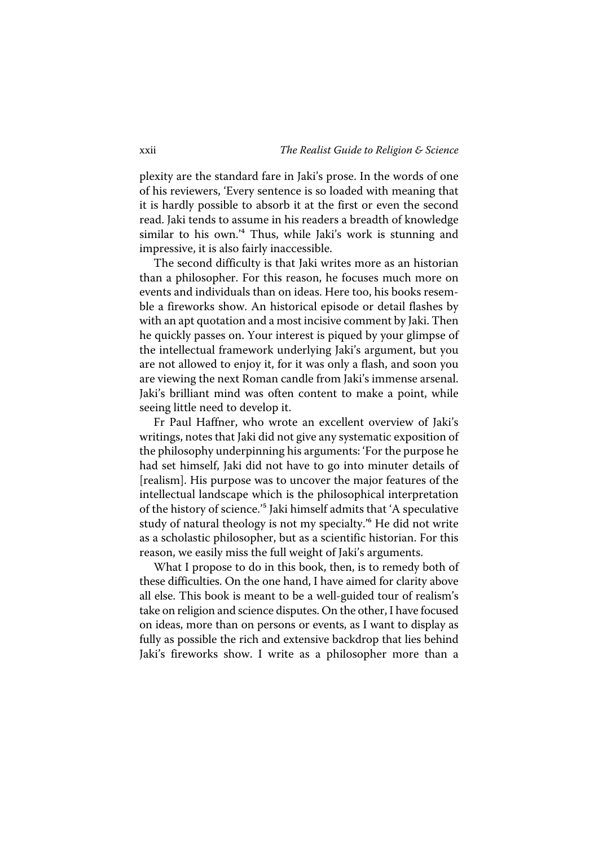plexity are the standard fare in Jaki's prose. In the words of one of his reviewers, 'Every sentence is so loaded with meaning that it is hardly possible to absorb it at the first or even the second read. Jaki tends to assume in his readers a breadth of knowledge similar to his own.<sup>'4</sup> Thus, while Jaki's work is stunning and impressive, it is also fairly inaccessible.

The second difficulty is that Jaki writes more as an historian than a philosopher. For this reason, he focuses much more on events and individuals than on ideas. Here too, his books resemble a fireworks show. An historical episode or detail flashes by with an apt quotation and a most incisive comment by Jaki. Then he quickly passes on. Your interest is piqued by your glimpse of the intellectual framework underlying Jaki's argument, but you are not allowed to enjoy it, for it was only a flash, and soon you are viewing the next Roman candle from Jaki's immense arsenal. Jaki's brilliant mind was often content to make a point, while seeing little need to develop it.

Fr Paul Haffner, who wrote an excellent overview of Jaki's writings, notes that Jaki did not give any systematic exposition of the philosophy underpinning his arguments: 'For the purpose he had set himself, Jaki did not have to go into minuter details of [realism]. His purpose was to uncover the major features of the intellectual landscape which is the philosophical interpretation of the history of science.<sup>'5</sup> Jaki himself admits that 'A speculative study of natural theology is not my specialty.<sup>16</sup> He did not write as a scholastic philosopher, but as a scientific historian. For this reason, we easily miss the full weight of Jaki's arguments.

What I propose to do in this book, then, is to remedy both of these difficulties. On the one hand, I have aimed for clarity above all else. This book is meant to be a well-guided tour of realism's take on religion and science disputes. On the other, I have focused on ideas, more than on persons or events, as I want to display as fully as possible the rich and extensive backdrop that lies behind Jaki's fireworks show. I write as a philosopher more than a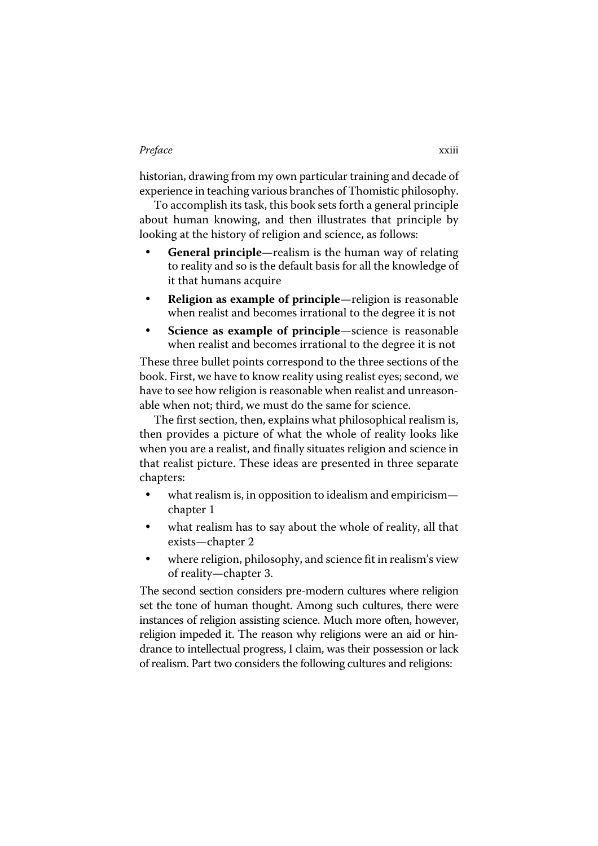## Preface xxiii

historian, drawing from my own particular training and decade of experience in teaching various branches of Thomistic philosophy.

To accomplish its task, this book sets forth a general principle about human knowing, and then illustrates that principle by looking at the history of religion and science, as follows:

- **General principle**—realism is the human way of relating to reality and so is the default basis for all the knowledge of it that humans acquire
- **Religion as example of principle**—religion is reasonable when realist and becomes irrational to the degree it is not
- ü **Science as example of principle**—science is reasonable when realist and becomes irrational to the degree it is not

These three bullet points correspond to the three sections of the book. First, we have to know reality using realist eyes; second, we have to see how religion is reasonable when realist and unreasonable when not; third, we must do the same for science.

The first section, then, explains what philosophical realism is, then provides a picture of what the whole of reality looks like when you are a realist, and finally situates religion and science in that realist picture. These ideas are presented in three separate chapters:

- what realism is, in opposition to idealism and empiricism chapter 1
- what realism has to say about the whole of reality, all that exists—chapter 2
- where religion, philosophy, and science fit in realism's view of reality—chapter 3.

The second section considers pre-modern cultures where religion set the tone of human thought. Among such cultures, there were instances of religion assisting science. Much more often, however, religion impeded it. The reason why religions were an aid or hindrance to intellectual progress, I claim, was their possession or lack of realism. Part two considers the following cultures and religions: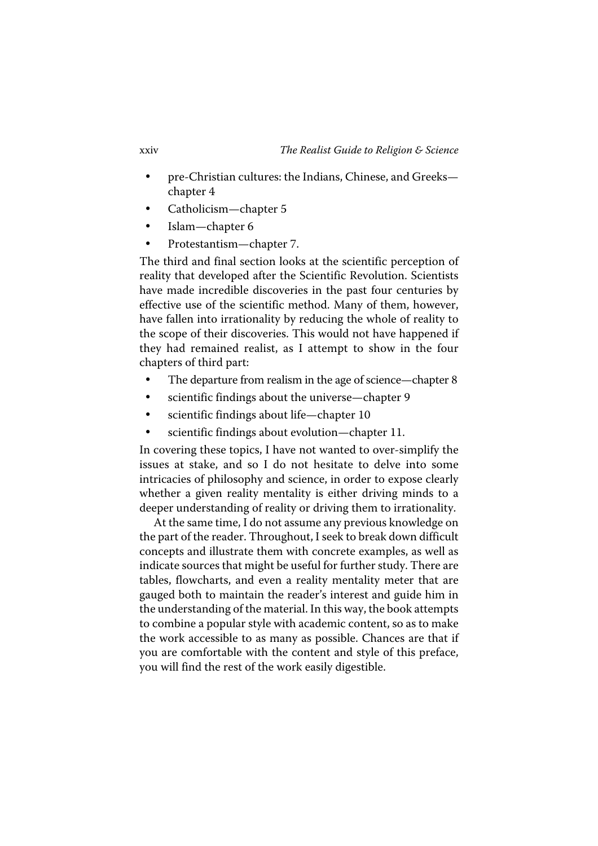- pre-Christian cultures: the Indians, Chinese, and Greeks chapter 4
- Catholicism—chapter 5
- Islam-chapter 6
- Protestantism—chapter 7.

The third and final section looks at the scientific perception of reality that developed after the Scientific Revolution. Scientists have made incredible discoveries in the past four centuries by effective use of the scientific method. Many of them, however, have fallen into irrationality by reducing the whole of reality to the scope of their discoveries. This would not have happened if they had remained realist, as I attempt to show in the four chapters of third part:

- The departure from realism in the age of science—chapter 8
- scientific findings about the universe—chapter 9
- scientific findings about life—chapter 10
- scientific findings about evolution—chapter 11.

In covering these topics, I have not wanted to over-simplify the issues at stake, and so I do not hesitate to delve into some intricacies of philosophy and science, in order to expose clearly whether a given reality mentality is either driving minds to a deeper understanding of reality or driving them to irrationality.

At the same time, I do not assume any previous knowledge on the part of the reader. Throughout, I seek to break down difficult concepts and illustrate them with concrete examples, as well as indicate sources that might be useful for further study. There are tables, flowcharts, and even a reality mentality meter that are gauged both to maintain the reader's interest and guide him in the understanding of the material. In this way, the book attempts to combine a popular style with academic content, so as to make the work accessible to as many as possible. Chances are that if you are comfortable with the content and style of this preface, you will find the rest of the work easily digestible.